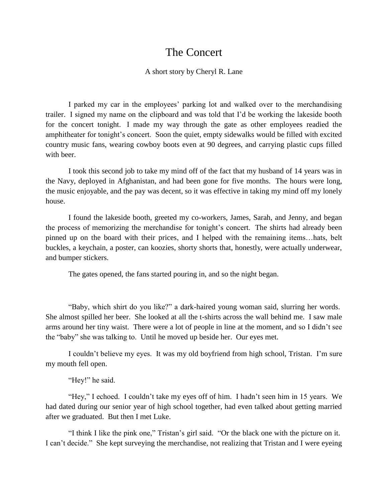## The Concert

## A short story by Cheryl R. Lane

I parked my car in the employees' parking lot and walked over to the merchandising trailer. I signed my name on the clipboard and was told that I'd be working the lakeside booth for the concert tonight. I made my way through the gate as other employees readied the amphitheater for tonight's concert. Soon the quiet, empty sidewalks would be filled with excited country music fans, wearing cowboy boots even at 90 degrees, and carrying plastic cups filled with beer.

I took this second job to take my mind off of the fact that my husband of 14 years was in the Navy, deployed in Afghanistan, and had been gone for five months. The hours were long, the music enjoyable, and the pay was decent, so it was effective in taking my mind off my lonely house.

I found the lakeside booth, greeted my co-workers, James, Sarah, and Jenny, and began the process of memorizing the merchandise for tonight's concert. The shirts had already been pinned up on the board with their prices, and I helped with the remaining items…hats, belt buckles, a keychain, a poster, can koozies, shorty shorts that, honestly, were actually underwear, and bumper stickers.

The gates opened, the fans started pouring in, and so the night began.

"Baby, which shirt do you like?" a dark-haired young woman said, slurring her words. She almost spilled her beer. She looked at all the t-shirts across the wall behind me. I saw male arms around her tiny waist. There were a lot of people in line at the moment, and so I didn't see the "baby" she was talking to. Until he moved up beside her. Our eyes met.

I couldn't believe my eyes. It was my old boyfriend from high school, Tristan. I'm sure my mouth fell open.

"Hey!" he said.

"Hey," I echoed. I couldn't take my eyes off of him. I hadn't seen him in 15 years. We had dated during our senior year of high school together, had even talked about getting married after we graduated. But then I met Luke.

"I think I like the pink one," Tristan's girl said. "Or the black one with the picture on it. I can't decide." She kept surveying the merchandise, not realizing that Tristan and I were eyeing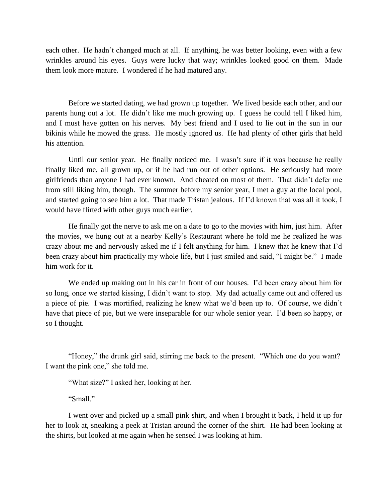each other. He hadn't changed much at all. If anything, he was better looking, even with a few wrinkles around his eyes. Guys were lucky that way; wrinkles looked good on them. Made them look more mature. I wondered if he had matured any.

Before we started dating, we had grown up together. We lived beside each other, and our parents hung out a lot. He didn't like me much growing up. I guess he could tell I liked him, and I must have gotten on his nerves. My best friend and I used to lie out in the sun in our bikinis while he mowed the grass. He mostly ignored us. He had plenty of other girls that held his attention.

Until our senior year. He finally noticed me. I wasn't sure if it was because he really finally liked me, all grown up, or if he had run out of other options. He seriously had more girlfriends than anyone I had ever known. And cheated on most of them. That didn't defer me from still liking him, though. The summer before my senior year, I met a guy at the local pool, and started going to see him a lot. That made Tristan jealous. If I'd known that was all it took, I would have flirted with other guys much earlier.

He finally got the nerve to ask me on a date to go to the movies with him, just him. After the movies, we hung out at a nearby Kelly's Restaurant where he told me he realized he was crazy about me and nervously asked me if I felt anything for him. I knew that he knew that I'd been crazy about him practically my whole life, but I just smiled and said, "I might be." I made him work for it.

We ended up making out in his car in front of our houses. I'd been crazy about him for so long, once we started kissing, I didn't want to stop. My dad actually came out and offered us a piece of pie. I was mortified, realizing he knew what we'd been up to. Of course, we didn't have that piece of pie, but we were inseparable for our whole senior year. I'd been so happy, or so I thought.

"Honey," the drunk girl said, stirring me back to the present. "Which one do you want? I want the pink one," she told me.

"What size?" I asked her, looking at her.

"Small"

I went over and picked up a small pink shirt, and when I brought it back, I held it up for her to look at, sneaking a peek at Tristan around the corner of the shirt. He had been looking at the shirts, but looked at me again when he sensed I was looking at him.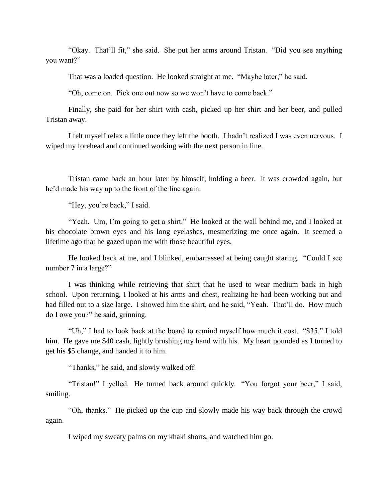"Okay. That'll fit," she said. She put her arms around Tristan. "Did you see anything you want?"

That was a loaded question. He looked straight at me. "Maybe later," he said.

"Oh, come on. Pick one out now so we won't have to come back."

Finally, she paid for her shirt with cash, picked up her shirt and her beer, and pulled Tristan away.

I felt myself relax a little once they left the booth. I hadn't realized I was even nervous. I wiped my forehead and continued working with the next person in line.

Tristan came back an hour later by himself, holding a beer. It was crowded again, but he'd made his way up to the front of the line again.

"Hey, you're back," I said.

"Yeah. Um, I'm going to get a shirt." He looked at the wall behind me, and I looked at his chocolate brown eyes and his long eyelashes, mesmerizing me once again. It seemed a lifetime ago that he gazed upon me with those beautiful eyes.

He looked back at me, and I blinked, embarrassed at being caught staring. "Could I see number 7 in a large?"

I was thinking while retrieving that shirt that he used to wear medium back in high school. Upon returning, I looked at his arms and chest, realizing he had been working out and had filled out to a size large. I showed him the shirt, and he said, "Yeah. That'll do. How much do I owe you?" he said, grinning.

"Uh," I had to look back at the board to remind myself how much it cost. "\$35." I told him. He gave me \$40 cash, lightly brushing my hand with his. My heart pounded as I turned to get his \$5 change, and handed it to him.

"Thanks," he said, and slowly walked off.

"Tristan!" I yelled. He turned back around quickly. "You forgot your beer," I said, smiling.

"Oh, thanks." He picked up the cup and slowly made his way back through the crowd again.

I wiped my sweaty palms on my khaki shorts, and watched him go.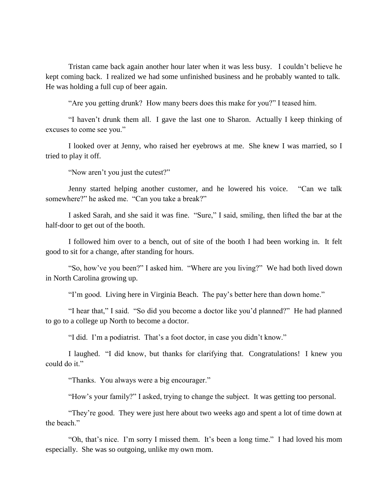Tristan came back again another hour later when it was less busy. I couldn't believe he kept coming back. I realized we had some unfinished business and he probably wanted to talk. He was holding a full cup of beer again.

"Are you getting drunk? How many beers does this make for you?" I teased him.

"I haven't drunk them all. I gave the last one to Sharon. Actually I keep thinking of excuses to come see you."

I looked over at Jenny, who raised her eyebrows at me. She knew I was married, so I tried to play it off.

"Now aren't you just the cutest?"

Jenny started helping another customer, and he lowered his voice. "Can we talk somewhere?" he asked me. "Can you take a break?"

I asked Sarah, and she said it was fine. "Sure," I said, smiling, then lifted the bar at the half-door to get out of the booth.

I followed him over to a bench, out of site of the booth I had been working in. It felt good to sit for a change, after standing for hours.

"So, how've you been?" I asked him. "Where are you living?" We had both lived down in North Carolina growing up.

"I'm good. Living here in Virginia Beach. The pay's better here than down home."

"I hear that," I said. "So did you become a doctor like you'd planned?" He had planned to go to a college up North to become a doctor.

"I did. I'm a podiatrist. That's a foot doctor, in case you didn't know."

I laughed. "I did know, but thanks for clarifying that. Congratulations! I knew you could do it."

"Thanks. You always were a big encourager."

"How's your family?" I asked, trying to change the subject. It was getting too personal.

"They're good. They were just here about two weeks ago and spent a lot of time down at the beach"

"Oh, that's nice. I'm sorry I missed them. It's been a long time." I had loved his mom especially. She was so outgoing, unlike my own mom.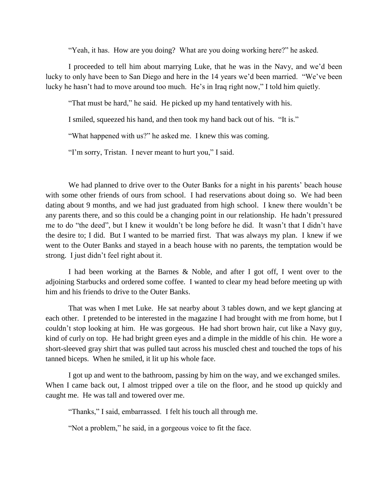"Yeah, it has. How are you doing? What are you doing working here?" he asked.

I proceeded to tell him about marrying Luke, that he was in the Navy, and we'd been lucky to only have been to San Diego and here in the 14 years we'd been married. "We've been lucky he hasn't had to move around too much. He's in Iraq right now," I told him quietly.

"That must be hard," he said. He picked up my hand tentatively with his.

I smiled, squeezed his hand, and then took my hand back out of his. "It is."

"What happened with us?" he asked me. I knew this was coming.

"I'm sorry, Tristan. I never meant to hurt you," I said.

We had planned to drive over to the Outer Banks for a night in his parents' beach house with some other friends of ours from school. I had reservations about doing so. We had been dating about 9 months, and we had just graduated from high school. I knew there wouldn't be any parents there, and so this could be a changing point in our relationship. He hadn't pressured me to do "the deed", but I knew it wouldn't be long before he did. It wasn't that I didn't have the desire to; I did. But I wanted to be married first. That was always my plan. I knew if we went to the Outer Banks and stayed in a beach house with no parents, the temptation would be strong. I just didn't feel right about it.

I had been working at the Barnes & Noble, and after I got off, I went over to the adjoining Starbucks and ordered some coffee. I wanted to clear my head before meeting up with him and his friends to drive to the Outer Banks.

That was when I met Luke. He sat nearby about 3 tables down, and we kept glancing at each other. I pretended to be interested in the magazine I had brought with me from home, but I couldn't stop looking at him. He was gorgeous. He had short brown hair, cut like a Navy guy, kind of curly on top. He had bright green eyes and a dimple in the middle of his chin. He wore a short-sleeved gray shirt that was pulled taut across his muscled chest and touched the tops of his tanned biceps. When he smiled, it lit up his whole face.

I got up and went to the bathroom, passing by him on the way, and we exchanged smiles. When I came back out, I almost tripped over a tile on the floor, and he stood up quickly and caught me. He was tall and towered over me.

"Thanks," I said, embarrassed. I felt his touch all through me.

"Not a problem," he said, in a gorgeous voice to fit the face.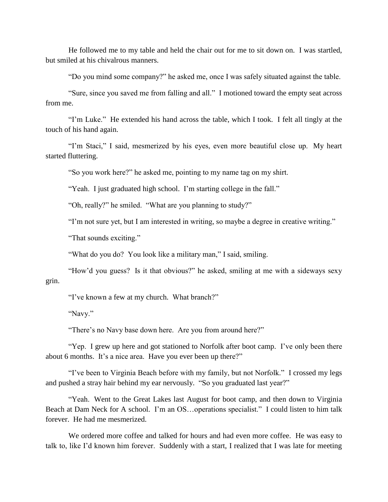He followed me to my table and held the chair out for me to sit down on. I was startled, but smiled at his chivalrous manners.

"Do you mind some company?" he asked me, once I was safely situated against the table.

"Sure, since you saved me from falling and all." I motioned toward the empty seat across from me.

"I'm Luke." He extended his hand across the table, which I took. I felt all tingly at the touch of his hand again.

"I'm Staci," I said, mesmerized by his eyes, even more beautiful close up. My heart started fluttering.

"So you work here?" he asked me, pointing to my name tag on my shirt.

"Yeah. I just graduated high school. I'm starting college in the fall."

"Oh, really?" he smiled. "What are you planning to study?"

"I'm not sure yet, but I am interested in writing, so maybe a degree in creative writing."

"That sounds exciting."

"What do you do? You look like a military man," I said, smiling.

"How'd you guess? Is it that obvious?" he asked, smiling at me with a sideways sexy grin.

"I've known a few at my church. What branch?"

"Navy."

"There's no Navy base down here. Are you from around here?"

"Yep. I grew up here and got stationed to Norfolk after boot camp. I've only been there about 6 months. It's a nice area. Have you ever been up there?"

"I've been to Virginia Beach before with my family, but not Norfolk." I crossed my legs and pushed a stray hair behind my ear nervously. "So you graduated last year?"

"Yeah. Went to the Great Lakes last August for boot camp, and then down to Virginia Beach at Dam Neck for A school. I'm an OS...operations specialist." I could listen to him talk forever. He had me mesmerized.

We ordered more coffee and talked for hours and had even more coffee. He was easy to talk to, like I'd known him forever. Suddenly with a start, I realized that I was late for meeting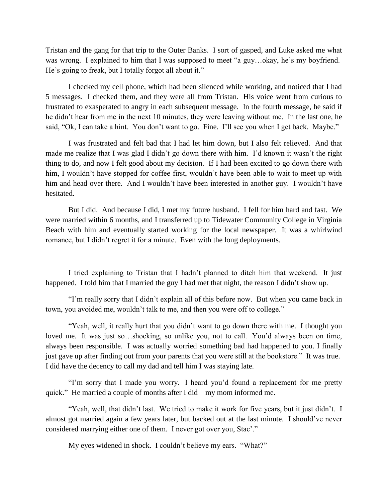Tristan and the gang for that trip to the Outer Banks. I sort of gasped, and Luke asked me what was wrong. I explained to him that I was supposed to meet "a guy…okay, he's my boyfriend. He's going to freak, but I totally forgot all about it."

I checked my cell phone, which had been silenced while working, and noticed that I had 5 messages. I checked them, and they were all from Tristan. His voice went from curious to frustrated to exasperated to angry in each subsequent message. In the fourth message, he said if he didn't hear from me in the next 10 minutes, they were leaving without me. In the last one, he said, "Ok, I can take a hint. You don't want to go. Fine. I'll see you when I get back. Maybe."

I was frustrated and felt bad that I had let him down, but I also felt relieved. And that made me realize that I was glad I didn't go down there with him. I'd known it wasn't the right thing to do, and now I felt good about my decision. If I had been excited to go down there with him, I wouldn't have stopped for coffee first, wouldn't have been able to wait to meet up with him and head over there. And I wouldn't have been interested in another guy. I wouldn't have hesitated.

But I did. And because I did, I met my future husband. I fell for him hard and fast. We were married within 6 months, and I transferred up to Tidewater Community College in Virginia Beach with him and eventually started working for the local newspaper. It was a whirlwind romance, but I didn't regret it for a minute. Even with the long deployments.

I tried explaining to Tristan that I hadn't planned to ditch him that weekend. It just happened. I told him that I married the guy I had met that night, the reason I didn't show up.

"I'm really sorry that I didn't explain all of this before now. But when you came back in town, you avoided me, wouldn't talk to me, and then you were off to college."

"Yeah, well, it really hurt that you didn't want to go down there with me. I thought you loved me. It was just so...shocking, so unlike you, not to call. You'd always been on time, always been responsible. I was actually worried something bad had happened to you. I finally just gave up after finding out from your parents that you were still at the bookstore." It was true. I did have the decency to call my dad and tell him I was staying late.

"I'm sorry that I made you worry. I heard you'd found a replacement for me pretty quick." He married a couple of months after I did – my mom informed me.

"Yeah, well, that didn't last. We tried to make it work for five years, but it just didn't. I almost got married again a few years later, but backed out at the last minute. I should've never considered marrying either one of them. I never got over you, Stac'."

My eyes widened in shock. I couldn't believe my ears. "What?"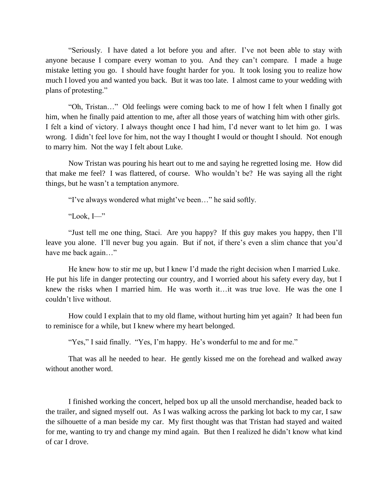"Seriously. I have dated a lot before you and after. I've not been able to stay with anyone because I compare every woman to you. And they can't compare. I made a huge mistake letting you go. I should have fought harder for you. It took losing you to realize how much I loved you and wanted you back. But it was too late. I almost came to your wedding with plans of protesting."

"Oh, Tristan…" Old feelings were coming back to me of how I felt when I finally got him, when he finally paid attention to me, after all those years of watching him with other girls. I felt a kind of victory. I always thought once I had him, I'd never want to let him go. I was wrong. I didn't feel love for him, not the way I thought I would or thought I should. Not enough to marry him. Not the way I felt about Luke.

Now Tristan was pouring his heart out to me and saying he regretted losing me. How did that make me feel? I was flattered, of course. Who wouldn't be? He was saying all the right things, but he wasn't a temptation anymore.

"I've always wondered what might've been…" he said softly.

"Look, I—"

"Just tell me one thing, Staci. Are you happy? If this guy makes you happy, then I'll leave you alone. I'll never bug you again. But if not, if there's even a slim chance that you'd have me back again..."

He knew how to stir me up, but I knew I'd made the right decision when I married Luke. He put his life in danger protecting our country, and I worried about his safety every day, but I knew the risks when I married him. He was worth it…it was true love. He was the one I couldn't live without.

How could I explain that to my old flame, without hurting him yet again? It had been fun to reminisce for a while, but I knew where my heart belonged.

"Yes," I said finally. "Yes, I'm happy. He's wonderful to me and for me."

That was all he needed to hear. He gently kissed me on the forehead and walked away without another word.

I finished working the concert, helped box up all the unsold merchandise, headed back to the trailer, and signed myself out. As I was walking across the parking lot back to my car, I saw the silhouette of a man beside my car. My first thought was that Tristan had stayed and waited for me, wanting to try and change my mind again. But then I realized he didn't know what kind of car I drove.